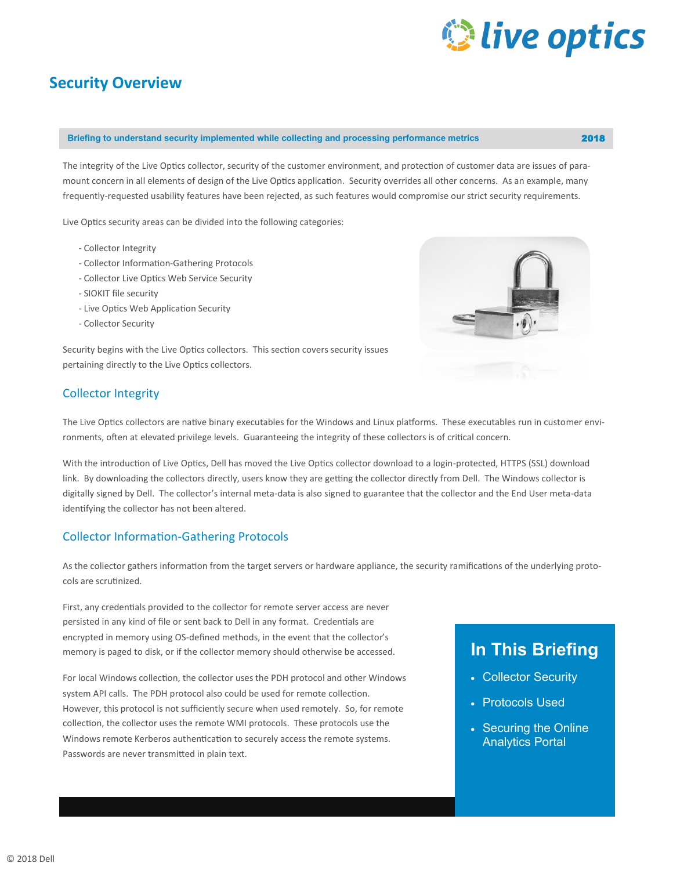# *Q* live optics

### **Security Overview**

#### **Briefing to understand security implemented while collecting and processing performance metrics** 2018

The integrity of the Live Optics collector, security of the customer environment, and protection of customer data are issues of paramount concern in all elements of design of the Live Optics application. Security overrides all other concerns. As an example, many frequently-requested usability features have been rejected, as such features would compromise our strict security requirements.

Live Optics security areas can be divided into the following categories:

- Collector Integrity
- Collector Information-Gathering Protocols
- Collector Live Optics Web Service Security
- SIOKIT file security
- Live Optics Web Application Security
- Collector Security

Security begins with the Live Optics collectors. This section covers security issues pertaining directly to the Live Optics collectors.

#### Collector Integrity

The Live Optics collectors are native binary executables for the Windows and Linux platforms. These executables run in customer environments, often at elevated privilege levels. Guaranteeing the integrity of these collectors is of critical concern.

With the introduction of Live Optics, Dell has moved the Live Optics collector download to a login-protected, HTTPS (SSL) download link. By downloading the collectors directly, users know they are getting the collector directly from Dell. The Windows collector is digitally signed by Dell. The collector's internal meta-data is also signed to guarantee that the collector and the End User meta-data identifying the collector has not been altered.

#### Collector Information-Gathering Protocols

As the collector gathers information from the target servers or hardware appliance, the security ramifications of the underlying protocols are scrutinized.

First, any credentials provided to the collector for remote server access are never persisted in any kind of file or sent back to Dell in any format. Credentials are encrypted in memory using OS-defined methods, in the event that the collector's memory is paged to disk, or if the collector memory should otherwise be accessed.

For local Windows collection, the collector uses the PDH protocol and other Windows system API calls. The PDH protocol also could be used for remote collection. However, this protocol is not sufficiently secure when used remotely. So, for remote collection, the collector uses the remote WMI protocols. These protocols use the Windows remote Kerberos authentication to securely access the remote systems. Passwords are never transmitted in plain text.

## **In This Briefing**

- Collector Security
- Protocols Used
- Securing the Online Analytics Portal

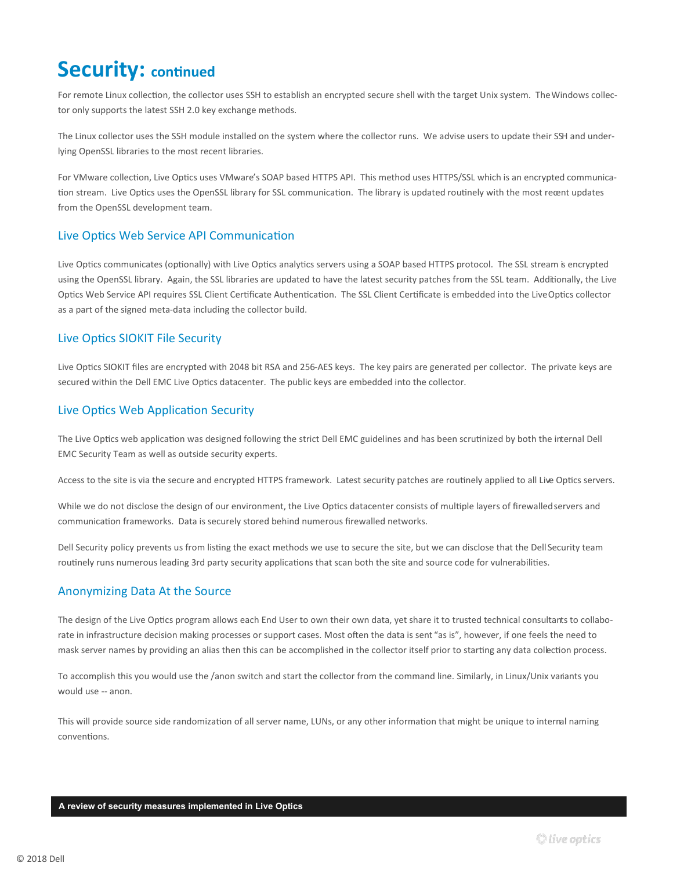# **Security: continued**

For remote Linux collection, the collector uses SSH to establish an encrypted secure shell with the target Unix system. The Windows collector only supports the latest SSH 2.0 key exchange methods.

The Linux collector uses the SSH module installed on the system where the collector runs. We advise users to update their SSH and underlying OpenSSL libraries to the most recent libraries.

For VMware collection, Live Optics uses VMware's SOAP based HTTPS API. This method uses HTTPS/SSL which is an encrypted communication stream. Live Optics uses the OpenSSL library for SSL communication. The library is updated routinely with the most recent updates from the OpenSSL development team.

#### Live Optics Web Service API Communication

Live Optics communicates (optionally) with Live Optics analytics servers using a SOAP based HTTPS protocol. The SSL stream is encrypted using the OpenSSL library. Again, the SSL libraries are updated to have the latest security patches from the SSL team. Additionally, the Live Optics Web Service API requires SSL Client Certificate Authentication. The SSL Client Certificate is embedded into the Live Optics collector as a part of the signed meta-data including the collector build.

#### Live Optics SIOKIT File Security

Live Optics SIOKIT files are encrypted with 2048 bit RSA and 256-AES keys. The key pairs are generated per collector. The private keys are secured within the Dell EMC Live Optics datacenter. The public keys are embedded into the collector.

#### Live Optics Web Application Security

The Live Optics web application was designed following the strict Dell EMC guidelines and has been scrutinized by both the internal Dell EMC Security Team as well as outside security experts.

Access to the site is via the secure and encrypted HTTPS framework. Latest security patches are routinely applied to all Live Optics servers.

While we do not disclose the design of our environment, the Live Optics datacenter consists of multiple layers of firewalled servers and communication frameworks. Data is securely stored behind numerous firewalled networks.

Dell Security policy prevents us from listing the exact methods we use to secure the site, but we can disclose that the Dell Security team routinely runs numerous leading 3rd party security applications that scan both the site and source code for vulnerabilities.

#### Anonymizing Data At the Source

The design of the Live Optics program allows each End User to own their own data, yet share it to trusted technical consultants to collaborate in infrastructure decision making processes or support cases. Most often the data is sent "as is", however, if one feels the need to mask server names by providing an alias then this can be accomplished in the collector itself prior to starting any data collection process.

To accomplish this you would use the /anon switch and start the collector from the command line. Similarly, in Linux/Unix variants you would use -- anon.

This will provide source side randomization of all server name, LUNs, or any other information that might be unique to internal naming conventions.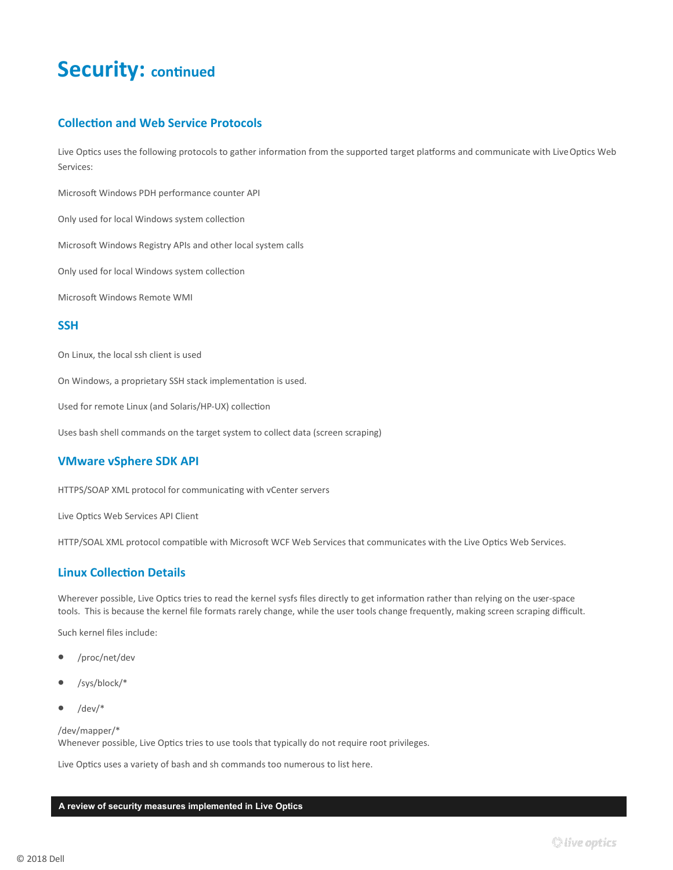# **Security: continued**

#### **Collection and Web Service Protocols**

Live Optics uses the following protocols to gather information from the supported target platforms and communicate with Live Optics Web Services:

Microsoft Windows PDH performance counter API

Only used for local Windows system collection

Microsoft Windows Registry APIs and other local system calls

Only used for local Windows system collection

Microsoft Windows Remote WMI

#### **SSH**

On Linux, the local ssh client is used

On Windows, a proprietary SSH stack implementation is used.

Used for remote Linux (and Solaris/HP-UX) collection

Uses bash shell commands on the target system to collect data (screen scraping)

#### **VMware vSphere SDK API**

HTTPS/SOAP XML protocol for communicating with vCenter servers

Live Optics Web Services API Client

HTTP/SOAL XML protocol compatible with Microsoft WCF Web Services that communicates with the Live Optics Web Services.

#### **Linux Collection Details**

Wherever possible, Live Optics tries to read the kernel sysfs files directly to get information rather than relying on the user-space tools. This is because the kernel file formats rarely change, while the user tools change frequently, making screen scraping difficult.

Such kernel files include:

- /proc/net/dev
- /sys/block/\*
- $\bullet$  /dev/\*

/dev/mapper/\* Whenever possible, Live Optics tries to use tools that typically do not require root privileges.

Live Optics uses a variety of bash and sh commands too numerous to list here.

#### **A review of security measures implemented in Live Optics**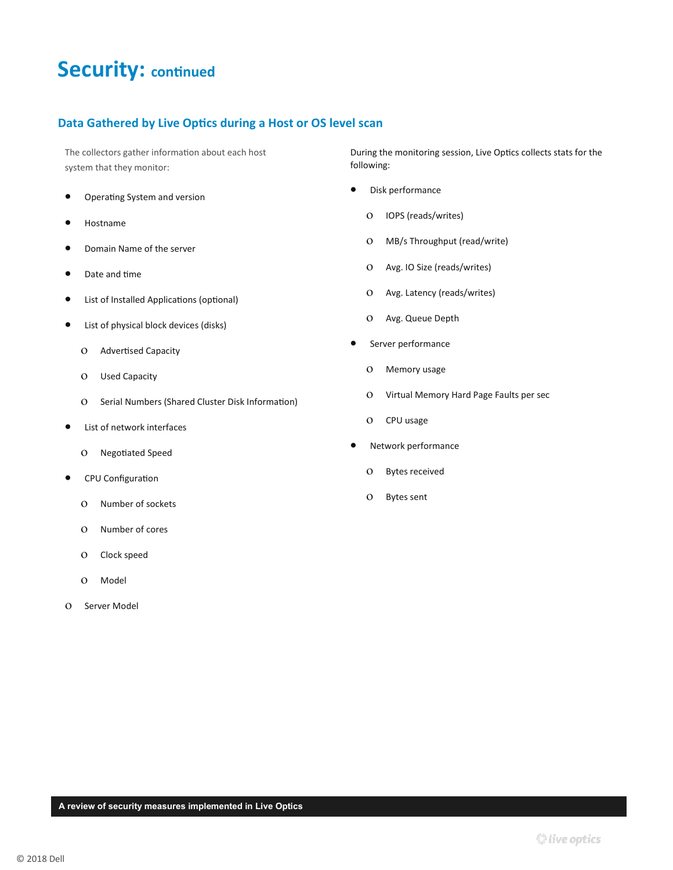# **Security: continued**

#### **Data Gathered by Live Optics during a Host or OS level scan**

The collectors gather information about each host system that they monitor:

- Operating System and version
- Hostname
- Domain Name of the server
- Date and time
- List of Installed Applications (optional)
- List of physical block devices (disks)
	- O Advertised Capacity
	- Used Capacity
	- O Serial Numbers (Shared Cluster Disk Information)
- List of network interfaces
	- Negotiated Speed
- CPU Configuration
	- O Number of sockets
	- Number of cores
	- O Clock speed
	- O Model
- O Server Model

During the monitoring session, Live Optics collects stats for the following:

- Disk performance
	- O IOPS (reads/writes)
	- MB/s Throughput (read/write)
	- Avg. IO Size (reads/writes)
	- Avg. Latency (reads/writes)
	- Avg. Queue Depth
- **•** Server performance
	- O Memory usage
	- Virtual Memory Hard Page Faults per sec
	- O CPU usage
- Network performance
	- O Bytes received
	- Bytes sent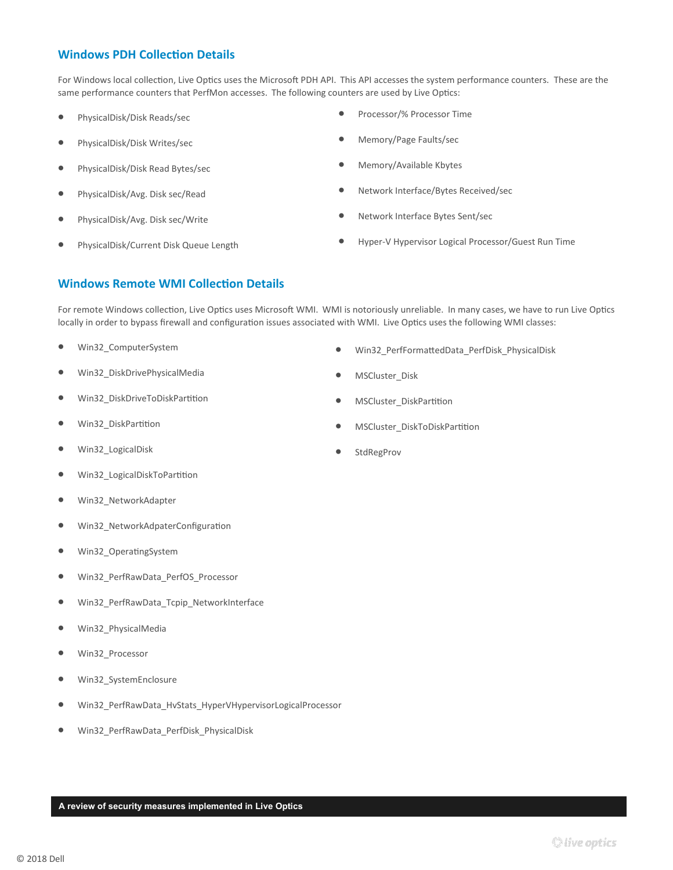#### **Windows PDH Collection Details**

For Windows local collection, Live Optics uses the Microsoft PDH API. This API accesses the system performance counters. These are the same performance counters that PerfMon accesses. The following counters are used by Live Optics:

- PhysicalDisk/Disk Reads/sec
- PhysicalDisk/Disk Writes/sec
- PhysicalDisk/Disk Read Bytes/sec
- PhysicalDisk/Avg. Disk sec/Read
- PhysicalDisk/Avg. Disk sec/Write
- PhysicalDisk/Current Disk Queue Length
- Processor/% Processor Time
- Memory/Page Faults/sec
- Memory/Available Kbytes
- Network Interface/Bytes Received/sec
- Network Interface Bytes Sent/sec
- Hyper-V Hypervisor Logical Processor/Guest Run Time

#### **Windows Remote WMI Collection Details**

For remote Windows collection, Live Optics uses Microsoft WMI. WMI is notoriously unreliable. In many cases, we have to run Live Optics locally in order to bypass firewall and configuration issues associated with WMI. Live Optics uses the following WMI classes:

- Win32\_ComputerSystem
- Win32\_DiskDrivePhysicalMedia
- Win32\_DiskDriveToDiskPartition
- Win32\_DiskPartition
- Win32 LogicalDisk
- Win32 LogicalDiskToPartition
- Win32\_NetworkAdapter
- Win32\_NetworkAdpaterConfiguration
- Win32\_OperatingSystem
- Win32\_PerfRawData\_PerfOS\_Processor
- Win32\_PerfRawData\_Tcpip\_NetworkInterface
- Win32\_PhysicalMedia
- Win32\_Processor
- Win32\_SystemEnclosure
- Win32\_PerfRawData\_HvStats\_HyperVHypervisorLogicalProcessor
- Win32\_PerfRawData\_PerfDisk\_PhysicalDisk
- Win32\_PerfFormattedData\_PerfDisk\_PhysicalDisk
- MSCluster\_Disk
- MSCluster\_DiskPartition
- MSCluster\_DiskToDiskPartition
- StdRegProv